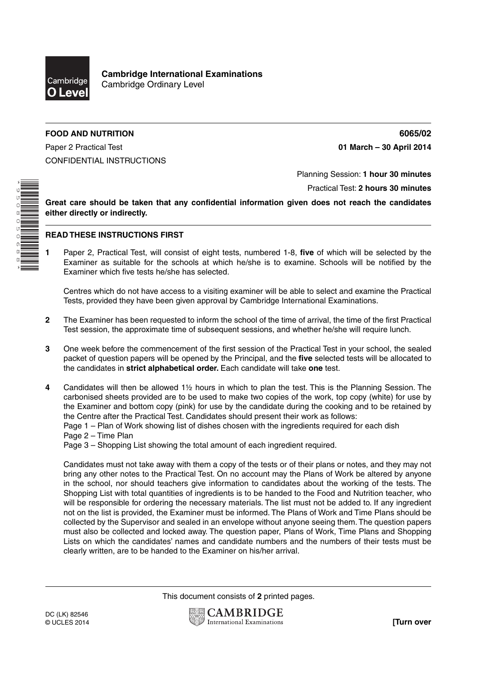

**Cambridge International Examinations** Cambridge Ordinary Level

## **FOOD AND NUTRITION 6065/02**

Paper 2 Practical Test **01 March – 30 April 2014** CONFIDENTIAL INSTRUCTIONS

\*9508050688\*

Planning Session: **1 hour 30 minutes**

Practical Test: **2 hours 30 minutes**

**Great care should be taken that any confidential information given does not reach the candidates either directly or indirectly.**

## **READ THESE INSTRUCTIONS FIRST**

**1** Paper 2, Practical Test, will consist of eight tests, numbered 1-8, **five** of which will be selected by the Examiner as suitable for the schools at which he/she is to examine. Schools will be notified by the Examiner which five tests he/she has selected.

Centres which do not have access to a visiting examiner will be able to select and examine the Practical Tests, provided they have been given approval by Cambridge International Examinations.

- **2** The Examiner has been requested to inform the school of the time of arrival, the time of the first Practical Test session, the approximate time of subsequent sessions, and whether he/she will require lunch.
- **3** One week before the commencement of the first session of the Practical Test in your school, the sealed packet of question papers will be opened by the Principal, and the **five** selected tests will be allocated to the candidates in **strict alphabetical order.** Each candidate will take **one** test.
- **4** Candidates will then be allowed 1½ hours in which to plan the test. This is the Planning Session. The carbonised sheets provided are to be used to make two copies of the work, top copy (white) for use by the Examiner and bottom copy (pink) for use by the candidate during the cooking and to be retained by the Centre after the Practical Test. Candidates should present their work as follows:

Page 1 – Plan of Work showing list of dishes chosen with the ingredients required for each dish

Page 2 – Time Plan

Page 3 – Shopping List showing the total amount of each ingredient required.

Candidates must not take away with them a copy of the tests or of their plans or notes, and they may not bring any other notes to the Practical Test. On no account may the Plans of Work be altered by anyone in the school, nor should teachers give information to candidates about the working of the tests. The Shopping List with total quantities of ingredients is to be handed to the Food and Nutrition teacher, who will be responsible for ordering the necessary materials. The list must not be added to. If any ingredient not on the list is provided, the Examiner must be informed. The Plans of Work and Time Plans should be collected by the Supervisor and sealed in an envelope without anyone seeing them. The question papers must also be collected and locked away. The question paper, Plans of Work, Time Plans and Shopping Lists on which the candidates' names and candidate numbers and the numbers of their tests must be clearly written, are to be handed to the Examiner on his/her arrival.

This document consists of **2** printed pages.